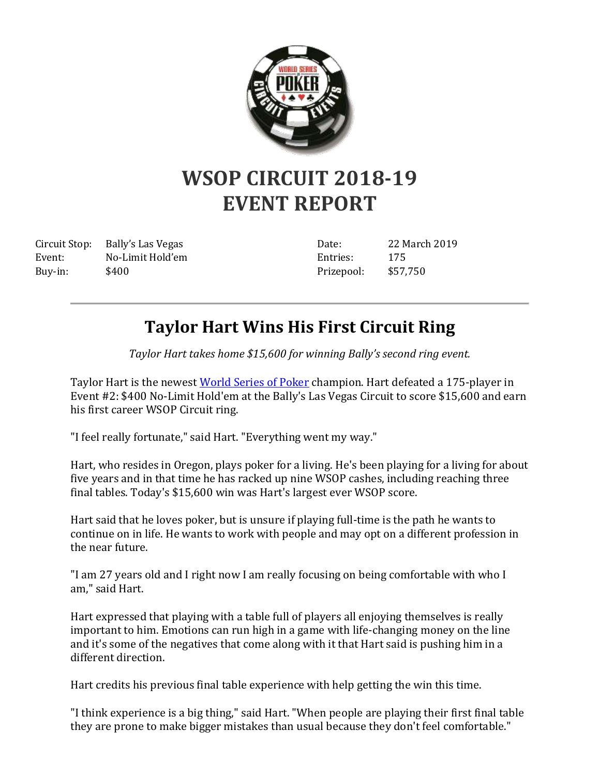

## **WSOP CIRCUIT 2018-19 EVENT REPORT**

Circuit Stop: Bally's Las Vegas Event: No-Limit Hold'em Buy-in: \$400

Date: 22 March 2019 Entries: 175 Prizepool: \$57,750

## **Taylor Hart Wins His First Circuit Ring**

*Taylor Hart takes home \$15,600 for winning Bally's second ring event.*

Taylor Hart is the newest [World Series of Poker](http://www.wsop.com/) champion. Hart defeated a 175-player in Event #2: \$400 No-Limit Hold'em at the Bally's Las Vegas Circuit to score \$15,600 and earn his first career WSOP Circuit ring.

"I feel really fortunate," said Hart. "Everything went my way."

Hart, who resides in Oregon, plays poker for a living. He's been playing for a living for about five years and in that time he has racked up nine WSOP cashes, including reaching three final tables. Today's \$15,600 win was Hart's largest ever WSOP score.

Hart said that he loves poker, but is unsure if playing full-time is the path he wants to continue on in life. He wants to work with people and may opt on a different profession in the near future.

"I am 27 years old and I right now I am really focusing on being comfortable with who I am," said Hart.

Hart expressed that playing with a table full of players all enjoying themselves is really important to him. Emotions can run high in a game with life-changing money on the line and it's some of the negatives that come along with it that Hart said is pushing him in a different direction.

Hart credits his previous final table experience with help getting the win this time.

"I think experience is a big thing," said Hart. "When people are playing their first final table they are prone to make bigger mistakes than usual because they don't feel comfortable."